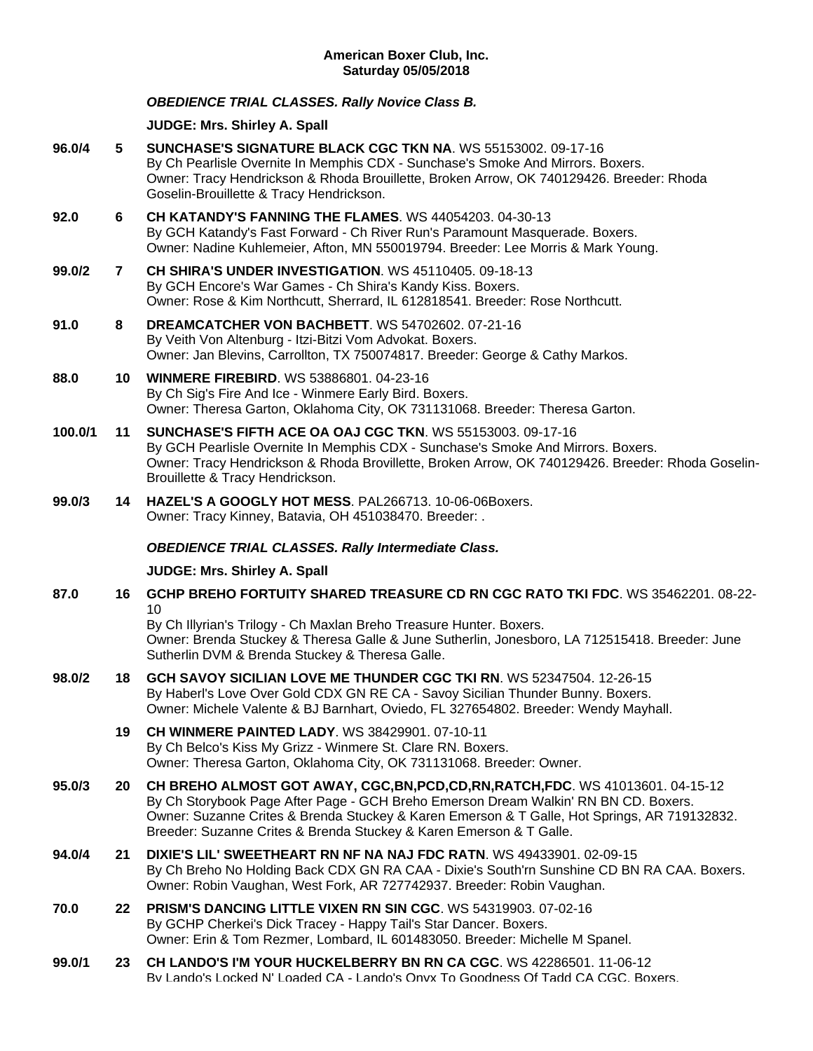# *OBEDIENCE TRIAL CLASSES. Rally Novice Class B.*

**JUDGE: [Mrs. Shirley A. Spall](http://www.infodog.com/show/judge/jdgprofile.htm?jn=39543)**

**96.0/4 5 [SUNCHASE'S SIGNATURE BLACK CGC TKN NA](http://www.infodog.com/my/drlookup2.htm?makc=WS%2055153002&mdog=Sunchase%27s+Signature+Black+CGC+TKN+NA&wins=all)**. WS 55153002. 09-17-16 By Ch Pearlisle Overnite In Memphis CDX - Sunchase's Smoke And Mirrors. Boxers. Owner: Tracy Hendrickson & Rhoda Brouillette, Broken Arrow, OK 740129426. Breeder: Rhoda Goselin-Brouillette & Tracy Hendrickson. **92.0 6 [CH KATANDY'S FANNING THE FLAMES](http://www.infodog.com/my/drlookup2.htm?makc=WS%2044054203&mdog=Ch+Katandy%27s+Fanning+The+Flames&wins=all)**. WS 44054203. 04-30-13 By GCH Katandy's Fast Forward - Ch River Run's Paramount Masquerade. Boxers. Owner: Nadine Kuhlemeier, Afton, MN 550019794. Breeder: Lee Morris & Mark Young. **99.0/2 7 [CH SHIRA'S UNDER INVESTIGATION](http://www.infodog.com/my/drlookup2.htm?makc=WS%2045110405&mdog=Ch+Shira%27s+Under+Investigation&wins=all)**. WS 45110405. 09-18-13 By GCH Encore's War Games - Ch Shira's Kandy Kiss. Boxers. Owner: Rose & Kim Northcutt, Sherrard, IL 612818541. Breeder: Rose Northcutt. **91.0 8 [DREAMCATCHER VON BACHBETT](http://www.infodog.com/my/drlookup2.htm?makc=WS%2054702602&mdog=Dreamcatcher+Von+Bachbett&wins=all)**. WS 54702602. 07-21-16 By Veith Von Altenburg - Itzi-Bitzi Vom Advokat. Boxers. Owner: Jan Blevins, Carrollton, TX 750074817. Breeder: George & Cathy Markos. **88.0 10 [WINMERE FIREBIRD](http://www.infodog.com/my/drlookup2.htm?makc=WS%2053886801&mdog=Winmere+Firebird&wins=all)**. WS 53886801. 04-23-16 By Ch Sig's Fire And Ice - Winmere Early Bird. Boxers. Owner: Theresa Garton, Oklahoma City, OK 731131068. Breeder: Theresa Garton. **100.0/1 11 [SUNCHASE'S FIFTH ACE OA OAJ CGC TKN](http://www.infodog.com/my/drlookup2.htm?makc=WS%2055153003&mdog=Sunchase%27s+Fifth+Ace+OA+OAJ+CGC+TKN&wins=all)**. WS 55153003. 09-17-16 By GCH Pearlisle Overnite In Memphis CDX - Sunchase's Smoke And Mirrors. Boxers. Owner: Tracy Hendrickson & Rhoda Brovillette, Broken Arrow, OK 740129426. Breeder: Rhoda Goselin-Brouillette & Tracy Hendrickson. **99.0/3 14 [HAZEL'S A GOOGLY HOT MESS](http://www.infodog.com/my/drlookup2.htm?makc=PAL266713&mdog=Hazel%27s+A+Googly+Hot+Mess&wins=all)**. PAL266713. 10-06-06Boxers. Owner: Tracy Kinney, Batavia, OH 451038470. Breeder: . *OBEDIENCE TRIAL CLASSES. Rally Intermediate Class.* **JUDGE: [Mrs. Shirley A. Spall](http://www.infodog.com/show/judge/jdgprofile.htm?jn=39543) 87.0 16 [GCHP BREHO FORTUITY SHARED TREASURE CD RN CGC RATO TKI FDC](http://www.infodog.com/my/drlookup2.htm?makc=WS%2035462201&mdog=GCHP+Breho+Fortuity+Shared+Treasure+CD+RN+CGC+RATO+TKI+FDC&wins=all)**. WS 35462201. 08-22- 10 By Ch Illyrian's Trilogy - Ch Maxlan Breho Treasure Hunter. Boxers. Owner: Brenda Stuckey & Theresa Galle & June Sutherlin, Jonesboro, LA 712515418. Breeder: June Sutherlin DVM & Brenda Stuckey & Theresa Galle. **98.0/2 18 [GCH SAVOY SICILIAN LOVE ME THUNDER CGC TKI RN](http://www.infodog.com/my/drlookup2.htm?makc=WS%2052347504&mdog=GCH+Savoy+Sicilian+Love+Me+Thunder+CGC+TKI+RN&wins=all)**. WS 52347504. 12-26-15 By Haberl's Love Over Gold CDX GN RE CA - Savoy Sicilian Thunder Bunny. Boxers. Owner: Michele Valente & BJ Barnhart, Oviedo, FL 327654802. Breeder: Wendy Mayhall. **19 [CH WINMERE PAINTED LADY](http://www.infodog.com/my/drlookup2.htm?makc=WS%2038429901&mdog=Ch+Winmere+Painted+Lady&wins=all)**. WS 38429901. 07-10-11 By Ch Belco's Kiss My Grizz - Winmere St. Clare RN. Boxers. Owner: Theresa Garton, Oklahoma City, OK 731131068. Breeder: Owner. **95.0/3 20 [CH BREHO ALMOST GOT AWAY, CGC,BN,PCD,CD,RN,RATCH,FDC](http://www.infodog.com/my/drlookup2.htm?makc=WS%2041013601&mdog=Ch+Breho+Almost+Got+Away,+CGC,BN,PCD,CD,RN,RATCH,FDC&wins=all)**. WS 41013601. 04-15-12 By Ch Storybook Page After Page - GCH Breho Emerson Dream Walkin' RN BN CD. Boxers. Owner: Suzanne Crites & Brenda Stuckey & Karen Emerson & T Galle, Hot Springs, AR 719132832. Breeder: Suzanne Crites & Brenda Stuckey & Karen Emerson & T Galle. **94.0/4 21 [DIXIE'S LIL' SWEETHEART RN NF NA NAJ FDC RATN](http://www.infodog.com/my/drlookup2.htm?makc=WS%2049433901&mdog=Dixie%27s+Lil%27+Sweetheart+RN+NF+NA+NAJ+FDC+RATN&wins=all)**. WS 49433901. 02-09-15 By Ch Breho No Holding Back CDX GN RA CAA - Dixie's South'rn Sunshine CD BN RA CAA. Boxers. Owner: Robin Vaughan, West Fork, AR 727742937. Breeder: Robin Vaughan. **70.0 22 [PRISM'S DANCING LITTLE VIXEN RN SIN CGC](http://www.infodog.com/my/drlookup2.htm?makc=WS%2054319903&mdog=Prism%27s+Dancing+Little+Vixen+RN+SIN+CGC&wins=all)**. WS 54319903. 07-02-16 By GCHP Cherkei's Dick Tracey - Happy Tail's Star Dancer. Boxers. Owner: Erin & Tom Rezmer, Lombard, IL 601483050. Breeder: Michelle M Spanel. **99.0/1 23 [CH LANDO'S I'M YOUR HUCKELBERRY BN RN CA CGC](http://www.infodog.com/my/drlookup2.htm?makc=WS%2042286501&mdog=Ch+Lando%27s+I%27m+Your+Huckelberry+BN+RN+CA+CGC&wins=all)**. WS 42286501. 11-06-12 By Lando's Locked N' Loaded CA - Lando's Onyx To Goodness Of Tadd CA CGC. Boxers.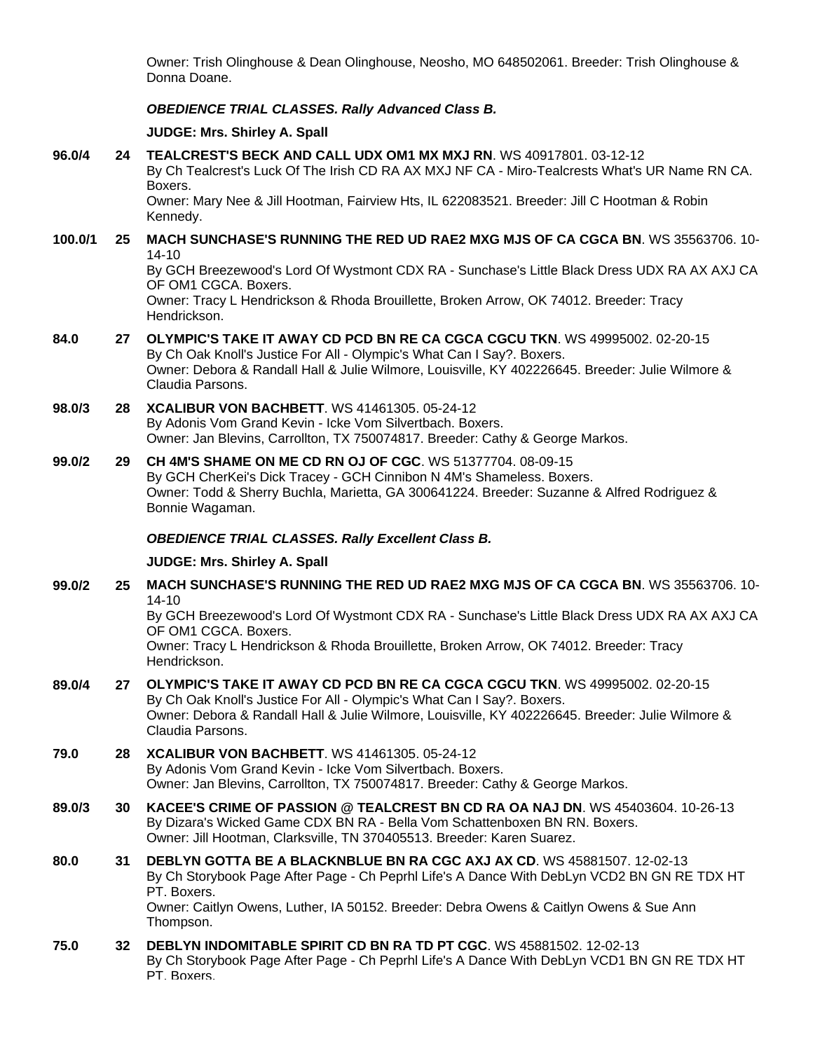Owner: Trish Olinghouse & Dean Olinghouse, Neosho, MO 648502061. Breeder: Trish Olinghouse & Donna Doane.

# *OBEDIENCE TRIAL CLASSES. Rally Advanced Class B.*

## **JUDGE: [Mrs. Shirley A. Spall](http://www.infodog.com/show/judge/jdgprofile.htm?jn=39543)**

**96.0/4 24 [TEALCREST'S BECK AND CALL UDX OM1 MX MXJ RN](http://www.infodog.com/my/drlookup2.htm?makc=WS%2040917801&mdog=Tealcrest%27s+Beck+And+Call+UDX+OM1+MX+MXJ+RN&wins=all)**. WS 40917801. 03-12-12 By Ch Tealcrest's Luck Of The Irish CD RA AX MXJ NF CA - Miro-Tealcrests What's UR Name RN CA. Boxers. Owner: Mary Nee & Jill Hootman, Fairview Hts, IL 622083521. Breeder: Jill C Hootman & Robin Kennedy. **100.0/1 25 [MACH SUNCHASE'S RUNNING THE RED UD RAE2 MXG MJS OF CA CGCA BN](http://www.infodog.com/my/drlookup2.htm?makc=WS%2035563706&mdog=MACH+Sunchase%27s+Running+The+Red+UD+RAE2+MXG+MJS+OF+CA+CGCA+BN&wins=all)**. WS 35563706. 10- 14-10 By GCH Breezewood's Lord Of Wystmont CDX RA - Sunchase's Little Black Dress UDX RA AX AXJ CA OF OM1 CGCA. Boxers. Owner: Tracy L Hendrickson & Rhoda Brouillette, Broken Arrow, OK 74012. Breeder: Tracy Hendrickson. **84.0 27 [OLYMPIC'S TAKE IT AWAY CD PCD BN RE CA CGCA CGCU TKN](http://www.infodog.com/my/drlookup2.htm?makc=WS%2049995002&mdog=Olympic%27s+Take+It+Away+CD+PCD+BN+RE+CA+CGCA+CGCU+TKN&wins=all)**. WS 49995002. 02-20-15 By Ch Oak Knoll's Justice For All - Olympic's What Can I Say?. Boxers. Owner: Debora & Randall Hall & Julie Wilmore, Louisville, KY 402226645. Breeder: Julie Wilmore & Claudia Parsons. **98.0/3 28 [XCALIBUR VON BACHBETT](http://www.infodog.com/my/drlookup2.htm?makc=WS%2041461305&mdog=Xcalibur+Von+Bachbett&wins=all)**. WS 41461305. 05-24-12 By Adonis Vom Grand Kevin - Icke Vom Silvertbach. Boxers. Owner: Jan Blevins, Carrollton, TX 750074817. Breeder: Cathy & George Markos. **99.0/2 29 [CH 4M'S SHAME ON ME CD RN OJ OF CGC](http://www.infodog.com/my/drlookup2.htm?makc=WS%2051377704&mdog=Ch+4M%27s+Shame+On+Me+CD+RN+OJ+OF+CGC&wins=all)**. WS 51377704. 08-09-15 By GCH CherKei's Dick Tracey - GCH Cinnibon N 4M's Shameless. Boxers. Owner: Todd & Sherry Buchla, Marietta, GA 300641224. Breeder: Suzanne & Alfred Rodriguez & Bonnie Wagaman. *OBEDIENCE TRIAL CLASSES. Rally Excellent Class B.* **JUDGE: [Mrs. Shirley](http://www.infodog.com/show/judge/jdgprofile.htm?jn=39543) A. Spall 99.0/2 25 [MACH SUNCHASE'S RUNNING THE RED UD RAE2 MXG MJS OF CA CGCA BN](http://www.infodog.com/my/drlookup2.htm?makc=WS%2035563706&mdog=MACH+Sunchase%27s+Running+The+Red+UD+RAE2+MXG+MJS+OF+CA+CGCA+BN&wins=all)**. WS 35563706. 10- 14-10 By GCH Breezewood's Lord Of Wystmont CDX RA - Sunchase's Little Black Dress UDX RA AX AXJ CA OF OM1 CGCA. Boxers. Owner: Tracy L Hendrickson & Rhoda Brouillette, Broken Arrow, OK 74012. Breeder: Tracy Hendrickson. **89.0/4 27 [OLYMPIC'S TAKE IT AWAY CD PCD BN RE CA CGCA CGCU TKN](http://www.infodog.com/my/drlookup2.htm?makc=WS%2049995002&mdog=Olympic%27s+Take+It+Away+CD+PCD+BN+RE+CA+CGCA+CGCU+TKN&wins=all)**. WS 49995002. 02-20-15 By Ch Oak Knoll's Justice For All - Olympic's What Can I Say?. Boxers. Owner: Debora & Randall Hall & Julie Wilmore, Louisville, KY 402226645. Breeder: Julie Wilmore & Claudia Parsons. **79.0 28 [XCALIBUR VON BACHBETT](http://www.infodog.com/my/drlookup2.htm?makc=WS%2041461305&mdog=Xcalibur+Von+Bachbett&wins=all)**. WS 41461305. 05-24-12 By Adonis Vom Grand Kevin - Icke Vom Silvertbach. Boxers. Owner: Jan Blevins, Carrollton, TX 750074817. Breeder: Cathy & George Markos. **89.0/3 30 [KACEE'S CRIME OF PASSION @ TEALCREST BN CD RA OA NAJ DN](http://www.infodog.com/my/drlookup2.htm?makc=WS%2045403604&mdog=KaCee%27s+Crime+Of+Passion+@+Tealcrest+BN+CD+RA+OA+NAJ+DN&wins=all)**. WS 45403604. 10-26-13 By Dizara's Wicked Game CDX BN RA - Bella Vom Schattenboxen BN RN. Boxers. Owner: Jill Hootman, Clarksville, TN 370405513. Breeder: Karen Suarez. **80.0 31 [DEBLYN GOTTA BE A BLACKNBLUE BN RA CGC AXJ AX CD](http://www.infodog.com/my/drlookup2.htm?makc=WS%2045881507&mdog=DebLyn+Gotta+Be+A+BlackNBlue+BN+RA+CGC+AXJ+AX+CD&wins=all)**. WS 45881507. 12-02-13 By Ch Storybook Page After Page - Ch Peprhl Life's A Dance With DebLyn VCD2 BN GN RE TDX HT PT. Boxers. Owner: Caitlyn Owens, Luther, IA 50152. Breeder: Debra Owens & Caitlyn Owens & Sue Ann Thompson. **75.0 32 [DEBLYN INDOMITABLE SPIRIT CD BN RA TD PT CGC](http://www.infodog.com/my/drlookup2.htm?makc=WS%2045881502&mdog=DebLyn+Indomitable+Spirit+CD+BN+RA+TD+PT+CGC&wins=all)**. WS 45881502. 12-02-13 By Ch Storybook Page After Page - Ch Peprhl Life's A Dance With DebLyn VCD1 BN GN RE TDX HT PT. Boxers.